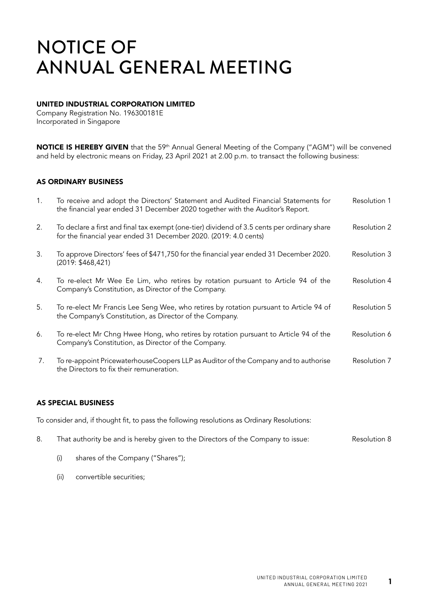### UNITED INDUSTRIAL CORPORATION LIMITED

Company Registration No. 196300181E Incorporated in Singapore

NOTICE IS HEREBY GIVEN that the 59<sup>th</sup> Annual General Meeting of the Company ("AGM") will be convened and held by electronic means on Friday, 23 April 2021 at 2.00 p.m. to transact the following business:

#### AS ORDINARY BUSINESS

| 1. | To receive and adopt the Directors' Statement and Audited Financial Statements for<br>the financial year ended 31 December 2020 together with the Auditor's Report. | Resolution 1 |
|----|---------------------------------------------------------------------------------------------------------------------------------------------------------------------|--------------|
| 2. | To declare a first and final tax exempt (one-tier) dividend of 3.5 cents per ordinary share<br>for the financial year ended 31 December 2020. (2019: 4.0 cents)     | Resolution 2 |
| 3. | To approve Directors' fees of \$471,750 for the financial year ended 31 December 2020.<br>(2019: \$468,421)                                                         | Resolution 3 |
| 4. | To re-elect Mr Wee Ee Lim, who retires by rotation pursuant to Article 94 of the<br>Company's Constitution, as Director of the Company.                             | Resolution 4 |
| 5. | To re-elect Mr Francis Lee Seng Wee, who retires by rotation pursuant to Article 94 of<br>the Company's Constitution, as Director of the Company.                   | Resolution 5 |
| 6. | To re-elect Mr Chng Hwee Hong, who retires by rotation pursuant to Article 94 of the<br>Company's Constitution, as Director of the Company.                         | Resolution 6 |
| 7. | To re-appoint PricewaterhouseCoopers LLP as Auditor of the Company and to authorise<br>the Directors to fix their remuneration.                                     | Resolution 7 |

### AS SPECIAL BUSINESS

To consider and, if thought fit, to pass the following resolutions as Ordinary Resolutions:

- 8. That authority be and is hereby given to the Directors of the Company to issue: Resolution 8
	- (i) shares of the Company ("Shares");
	- (ii) convertible securities;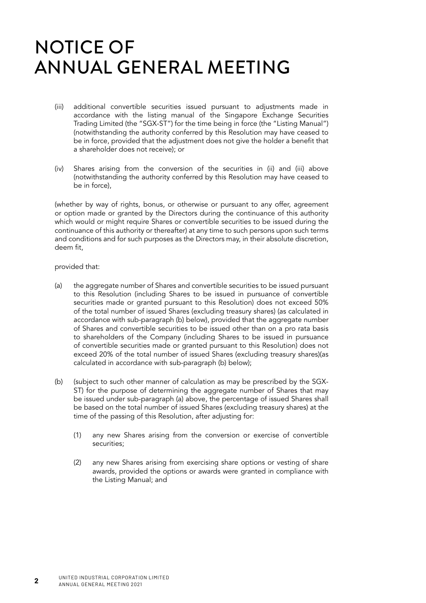- (iii) additional convertible securities issued pursuant to adjustments made in accordance with the listing manual of the Singapore Exchange Securities Trading Limited (the "SGX-ST") for the time being in force (the "Listing Manual") (notwithstanding the authority conferred by this Resolution may have ceased to be in force, provided that the adjustment does not give the holder a benefit that a shareholder does not receive); or
- (iv) Shares arising from the conversion of the securities in (ii) and (iii) above (notwithstanding the authority conferred by this Resolution may have ceased to be in force),

(whether by way of rights, bonus, or otherwise or pursuant to any offer, agreement or option made or granted by the Directors during the continuance of this authority which would or might require Shares or convertible securities to be issued during the continuance of this authority or thereafter) at any time to such persons upon such terms and conditions and for such purposes as the Directors may, in their absolute discretion, deem fit,

provided that:

- (a) the aggregate number of Shares and convertible securities to be issued pursuant to this Resolution (including Shares to be issued in pursuance of convertible securities made or granted pursuant to this Resolution) does not exceed 50% of the total number of issued Shares (excluding treasury shares) (as calculated in accordance with sub-paragraph (b) below), provided that the aggregate number of Shares and convertible securities to be issued other than on a pro rata basis to shareholders of the Company (including Shares to be issued in pursuance of convertible securities made or granted pursuant to this Resolution) does not exceed 20% of the total number of issued Shares (excluding treasury shares)(as calculated in accordance with sub-paragraph (b) below);
- (b) (subject to such other manner of calculation as may be prescribed by the SGX-ST) for the purpose of determining the aggregate number of Shares that may be issued under sub-paragraph (a) above, the percentage of issued Shares shall be based on the total number of issued Shares (excluding treasury shares) at the time of the passing of this Resolution, after adjusting for:
	- (1) any new Shares arising from the conversion or exercise of convertible securities;
	- (2) any new Shares arising from exercising share options or vesting of share awards, provided the options or awards were granted in compliance with the Listing Manual; and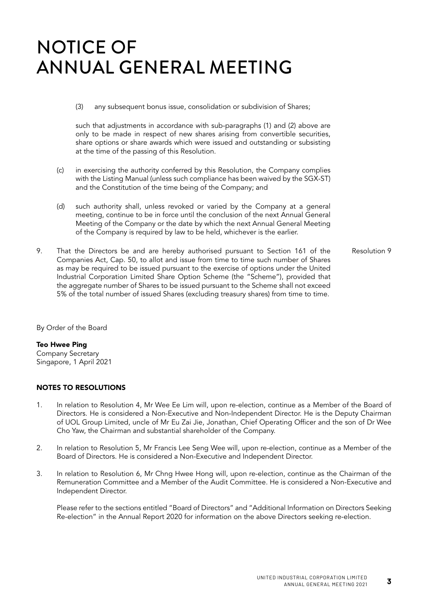(3) any subsequent bonus issue, consolidation or subdivision of Shares;

such that adjustments in accordance with sub-paragraphs (1) and (2) above are only to be made in respect of new shares arising from convertible securities, share options or share awards which were issued and outstanding or subsisting at the time of the passing of this Resolution.

- (c) in exercising the authority conferred by this Resolution, the Company complies with the Listing Manual (unless such compliance has been waived by the SGX-ST) and the Constitution of the time being of the Company; and
- (d) such authority shall, unless revoked or varied by the Company at a general meeting, continue to be in force until the conclusion of the next Annual General Meeting of the Company or the date by which the next Annual General Meeting of the Company is required by law to be held, whichever is the earlier.
- 9. That the Directors be and are hereby authorised pursuant to Section 161 of the Companies Act, Cap. 50, to allot and issue from time to time such number of Shares as may be required to be issued pursuant to the exercise of options under the United Industrial Corporation Limited Share Option Scheme (the "Scheme"), provided that the aggregate number of Shares to be issued pursuant to the Scheme shall not exceed 5% of the total number of issued Shares (excluding treasury shares) from time to time. Resolution 9

By Order of the Board

#### Teo Hwee Ping

Company Secretary Singapore, 1 April 2021

#### NOTES TO RESOLUTIONS

- 1. In relation to Resolution 4, Mr Wee Ee Lim will, upon re-election, continue as a Member of the Board of Directors. He is considered a Non-Executive and Non-Independent Director. He is the Deputy Chairman of UOL Group Limited, uncle of Mr Eu Zai Jie, Jonathan, Chief Operating Officer and the son of Dr Wee Cho Yaw, the Chairman and substantial shareholder of the Company.
- 2. In relation to Resolution 5, Mr Francis Lee Seng Wee will, upon re-election, continue as a Member of the Board of Directors. He is considered a Non-Executive and Independent Director.
- 3. In relation to Resolution 6, Mr Chng Hwee Hong will, upon re-election, continue as the Chairman of the Remuneration Committee and a Member of the Audit Committee. He is considered a Non-Executive and Independent Director.

Please refer to the sections entitled "Board of Directors" and "Additional Information on Directors Seeking Re-election" in the Annual Report 2020 for information on the above Directors seeking re-election.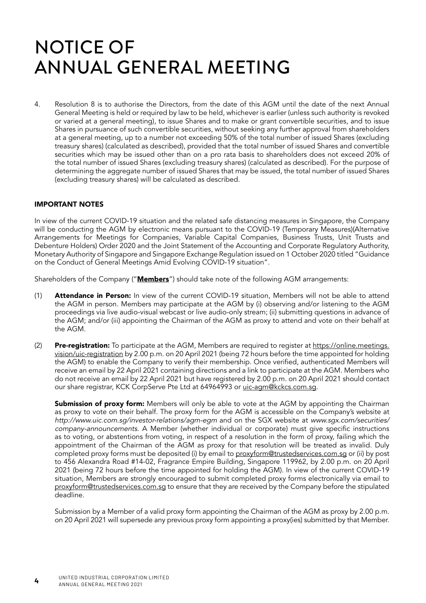4. Resolution 8 is to authorise the Directors, from the date of this AGM until the date of the next Annual General Meeting is held or required by law to be held, whichever is earlier (unless such authority is revoked or varied at a general meeting), to issue Shares and to make or grant convertible securities, and to issue Shares in pursuance of such convertible securities, without seeking any further approval from shareholders at a general meeting, up to a number not exceeding 50% of the total number of issued Shares (excluding treasury shares) (calculated as described), provided that the total number of issued Shares and convertible securities which may be issued other than on a pro rata basis to shareholders does not exceed 20% of the total number of issued Shares (excluding treasury shares) (calculated as described). For the purpose of determining the aggregate number of issued Shares that may be issued, the total number of issued Shares (excluding treasury shares) will be calculated as described.

#### IMPORTANT NOTES

In view of the current COVID-19 situation and the related safe distancing measures in Singapore, the Company will be conducting the AGM by electronic means pursuant to the COVID-19 (Temporary Measures)(Alternative Arrangements for Meetings for Companies, Variable Capital Companies, Business Trusts, Unit Trusts and Debenture Holders) Order 2020 and the Joint Statement of the Accounting and Corporate Regulatory Authority, Monetary Authority of Singapore and Singapore Exchange Regulation issued on 1 October 2020 titled "Guidance on the Conduct of General Meetings Amid Evolving COVID-19 situation".

Shareholders of the Company ("**Members**") should take note of the following AGM arrangements:

- (1) **Attendance in Person:** In view of the current COVID-19 situation, Members will not be able to attend the AGM in person. Members may participate at the AGM by (i) observing and/or listening to the AGM proceedings via live audio-visual webcast or live audio-only stream; (ii) submitting questions in advance of the AGM; and/or (iii) appointing the Chairman of the AGM as proxy to attend and vote on their behalf at the AGM.
- (2) Pre-registration: To participate at the AGM, Members are required to register at [https://online.meetings.](https://online.meetings.vision/uic-registration) [vision/uic-registration b](https://online.meetings.vision/uic-registration)y 2.00 p.m. on 20 April 2021 (being 72 hours before the time appointed for holding the AGM) to enable the Company to verify their membership. Once verified, authenticated Members will receive an email by 22 April 2021 containing directions and a link to participate at the AGM. Members who do not receive an email by 22 April 2021 but have registered by 2.00 p.m. on 20 April 2021 should contact our share registrar, KCK CorpServe Pte Ltd at 64964993 or uic-agm@kckcs.com.sg.

**Submission of proxy form:** Members will only be able to vote at the AGM by appointing the Chairman as proxy to vote on their behalf. The proxy form for the AGM is accessible on the Company's website at http://www.uic.com.sg/investor-relations/agm-egm and on the SGX website at www.sgx.com/securities/ company-announcements. A Member (whether individual or corporate) must give specific instructions as to voting, or abstentions from voting, in respect of a resolution in the form of proxy, failing which the appointment of the Chairman of the AGM as proxy for that resolution will be treated as invalid. Duly completed proxy forms must be deposited (i) by email to proxyform@trustedservices.com.sg or (ii) by post to 456 Alexandra Road #14-02, Fragrance Empire Building, Singapore 119962, by 2.00 p.m. on 20 April 2021 (being 72 hours before the time appointed for holding the AGM). In view of the current COVID-19 situation, Members are strongly encouraged to submit completed proxy forms electronically via email to proxyform@trustedservices.com.sg to ensure that they are received by the Company before the stipulated deadline.

Submission by a Member of a valid proxy form appointing the Chairman of the AGM as proxy by 2.00 p.m. on 20 April 2021 will supersede any previous proxy form appointing a proxy(ies) submitted by that Member.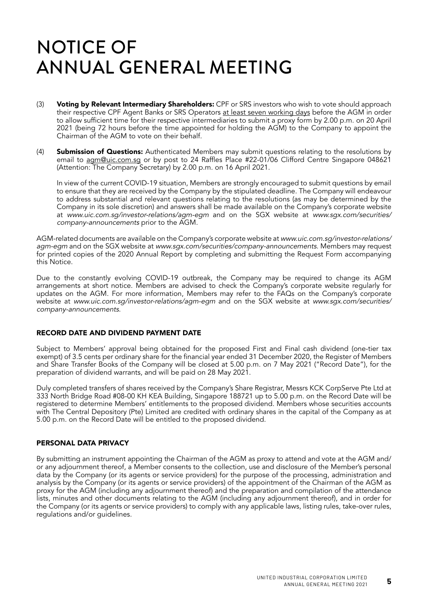- (3) Voting by Relevant Intermediary Shareholders: CPF or SRS investors who wish to vote should approach their respective CPF Agent Banks or SRS Operators at least seven working days before the AGM in order to allow sufficient time for their respective intermediaries to submit a proxy form by 2.00 p.m. on 20 April 2021 (being 72 hours before the time appointed for holding the AGM) to the Company to appoint the Chairman of the AGM to vote on their behalf.
- (4) **Submission of Questions:** Authenticated Members may submit questions relating to the resolutions by email to agm@uic.com.sg or by post to 24 Raffles Place #22-01/06 Clifford Centre Singapore 048621 (Attention: The Company Secretary) by 2.00 p.m. on 16 April 2021.

In view of the current COVID-19 situation, Members are strongly encouraged to submit questions by email to ensure that they are received by the Company by the stipulated deadline. The Company will endeavour to address substantial and relevant questions relating to the resolutions (as may be determined by the Company in its sole discretion) and answers shall be made available on the Company's corporate website at www.uic.com.sg/investor-relations/agm-egm and on the SGX website at www.sgx.com/securities/ company-announcements prior to the AGM.

AGM-related documents are available on the Company's corporate website at www.uic.com.sg/investor-relations/ agm-egm and on the SGX website at www.sgx.com/securities/company-announcements. Members may request for printed copies of the 2020 Annual Report by completing and submitting the Request Form accompanying this Notice.

Due to the constantly evolving COVID-19 outbreak, the Company may be required to change its AGM arrangements at short notice. Members are advised to check the Company's corporate website regularly for updates on the AGM. For more information, Members may refer to the FAQs on the Company's corporate website at www.uic.com.sg/investor-relations/agm-egm and on the SGX website at www.sgx.com/securities/ company-announcements.

#### RECORD DATE AND DIVIDEND PAYMENT DATE

Subject to Members' approval being obtained for the proposed First and Final cash dividend (one-tier tax exempt) of 3.5 cents per ordinary share for the financial year ended 31 December 2020, the Register of Members and Share Transfer Books of the Company will be closed at 5.00 p.m. on 7 May 2021 ("Record Date"), for the preparation of dividend warrants, and will be paid on 28 May 2021.

Duly completed transfers of shares received by the Company's Share Registrar, Messrs KCK CorpServe Pte Ltd at 333 North Bridge Road #08-00 KH KEA Building, Singapore 188721 up to 5.00 p.m. on the Record Date will be registered to determine Members' entitlements to the proposed dividend. Members whose securities accounts with The Central Depository (Pte) Limited are credited with ordinary shares in the capital of the Company as at 5.00 p.m. on the Record Date will be entitled to the proposed dividend.

#### PERSONAL DATA PRIVACY

By submitting an instrument appointing the Chairman of the AGM as proxy to attend and vote at the AGM and/ or any adjournment thereof, a Member consents to the collection, use and disclosure of the Member's personal data by the Company (or its agents or service providers) for the purpose of the processing, administration and analysis by the Company (or its agents or service providers) of the appointment of the Chairman of the AGM as proxy for the AGM (including any adjournment thereof) and the preparation and compilation of the attendance lists, minutes and other documents relating to the AGM (including any adjournment thereof), and in order for the Company (or its agents or service providers) to comply with any applicable laws, listing rules, take-over rules, regulations and/or guidelines.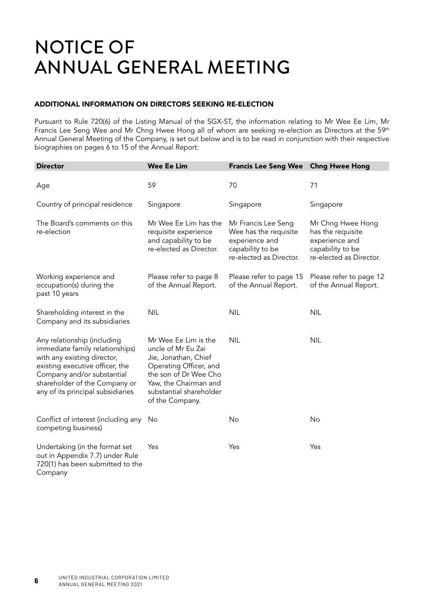#### ADDITIONAL INFORMATION ON DIRECTORS SEEKING RE-ELECTION

Pursuant to Rule 720(6) of the Listing Manual of the SGX-ST, the information relating to Mr Wee Ee Lim, Mr Francis Lee Seng Wee and Mr Chng Hwee Hong all of whom are seeking re-election as Directors at the 59<sup>th</sup> Annual General Meeting of the Company, is set out below and is to be read in conjunction with their respective biographies on pages 6 to 15 of the Annual Report:

| <b>Director</b>                                                                                                                                                                                                                      | <b>Wee Ee Lim</b>                                                                                                                                                                            | <b>Francis Lee Seng Wee</b>                                                                                   | <b>Chng Hwee Hong</b>                                                                                   |
|--------------------------------------------------------------------------------------------------------------------------------------------------------------------------------------------------------------------------------------|----------------------------------------------------------------------------------------------------------------------------------------------------------------------------------------------|---------------------------------------------------------------------------------------------------------------|---------------------------------------------------------------------------------------------------------|
| Age                                                                                                                                                                                                                                  | 59                                                                                                                                                                                           | 70                                                                                                            | 71                                                                                                      |
| Country of principal residence                                                                                                                                                                                                       | Singapore                                                                                                                                                                                    | Singapore                                                                                                     | Singapore                                                                                               |
| The Board's comments on this<br>re-election                                                                                                                                                                                          | Mr Wee Ee Lim has the<br>requisite experience<br>and capability to be<br>re-elected as Director.                                                                                             | Mr Francis Lee Seng<br>Wee has the requisite<br>experience and<br>capability to be<br>re-elected as Director. | Mr Chng Hwee Hong<br>has the requisite<br>experience and<br>capability to be<br>re-elected as Director. |
| Working experience and<br>occupation(s) during the<br>past 10 years                                                                                                                                                                  | Please refer to page 8<br>of the Annual Report.                                                                                                                                              | Please refer to page 15<br>of the Annual Report.                                                              | Please refer to page 12<br>of the Annual Report.                                                        |
| Shareholding interest in the<br>Company and its subsidiaries                                                                                                                                                                         | <b>NIL</b>                                                                                                                                                                                   | <b>NIL</b>                                                                                                    | <b>NIL</b>                                                                                              |
| Any relationship (including<br>immediate family relationships)<br>with any existing director,<br>existing executive officer, the<br>Company and/or substantial<br>shareholder of the Company or<br>any of its principal subsidiaries | Mr Wee Ee Lim is the<br>uncle of Mr Eu Zai<br>Jie, Jonathan, Chief<br>Operating Officer, and<br>the son of Dr Wee Cho<br>Yaw, the Chairman and<br>substantial shareholder<br>of the Company. | <b>NIL</b>                                                                                                    | <b>NIL</b>                                                                                              |
| Conflict of interest (including any<br>competing business)                                                                                                                                                                           | No                                                                                                                                                                                           | No                                                                                                            | No                                                                                                      |
| Undertaking (in the format set<br>out in Appendix 7.7) under Rule<br>720(1) has been submitted to the<br>Company                                                                                                                     | Yes                                                                                                                                                                                          | Yes                                                                                                           | Yes                                                                                                     |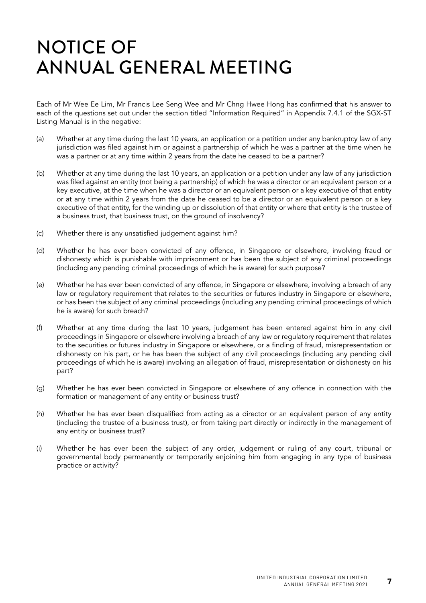Each of Mr Wee Ee Lim, Mr Francis Lee Seng Wee and Mr Chng Hwee Hong has confirmed that his answer to each of the questions set out under the section titled "Information Required" in Appendix 7.4.1 of the SGX-ST Listing Manual is in the negative:

- (a) Whether at any time during the last 10 years, an application or a petition under any bankruptcy law of any jurisdiction was filed against him or against a partnership of which he was a partner at the time when he was a partner or at any time within 2 years from the date he ceased to be a partner?
- (b) Whether at any time during the last 10 years, an application or a petition under any law of any jurisdiction was filed against an entity (not being a partnership) of which he was a director or an equivalent person or a key executive, at the time when he was a director or an equivalent person or a key executive of that entity or at any time within 2 years from the date he ceased to be a director or an equivalent person or a key executive of that entity, for the winding up or dissolution of that entity or where that entity is the trustee of a business trust, that business trust, on the ground of insolvency?
- (c) Whether there is any unsatisfied judgement against him?
- (d) Whether he has ever been convicted of any offence, in Singapore or elsewhere, involving fraud or dishonesty which is punishable with imprisonment or has been the subject of any criminal proceedings (including any pending criminal proceedings of which he is aware) for such purpose?
- (e) Whether he has ever been convicted of any offence, in Singapore or elsewhere, involving a breach of any law or regulatory requirement that relates to the securities or futures industry in Singapore or elsewhere, or has been the subject of any criminal proceedings (including any pending criminal proceedings of which he is aware) for such breach?
- (f) Whether at any time during the last 10 years, judgement has been entered against him in any civil proceedings in Singapore or elsewhere involving a breach of any law or regulatory requirement that relates to the securities or futures industry in Singapore or elsewhere, or a finding of fraud, misrepresentation or dishonesty on his part, or he has been the subject of any civil proceedings (including any pending civil proceedings of which he is aware) involving an allegation of fraud, misrepresentation or dishonesty on his part?
- (g) Whether he has ever been convicted in Singapore or elsewhere of any offence in connection with the formation or management of any entity or business trust?
- (h) Whether he has ever been disqualified from acting as a director or an equivalent person of any entity (including the trustee of a business trust), or from taking part directly or indirectly in the management of any entity or business trust?
- (i) Whether he has ever been the subject of any order, judgement or ruling of any court, tribunal or governmental body permanently or temporarily enjoining him from engaging in any type of business practice or activity?